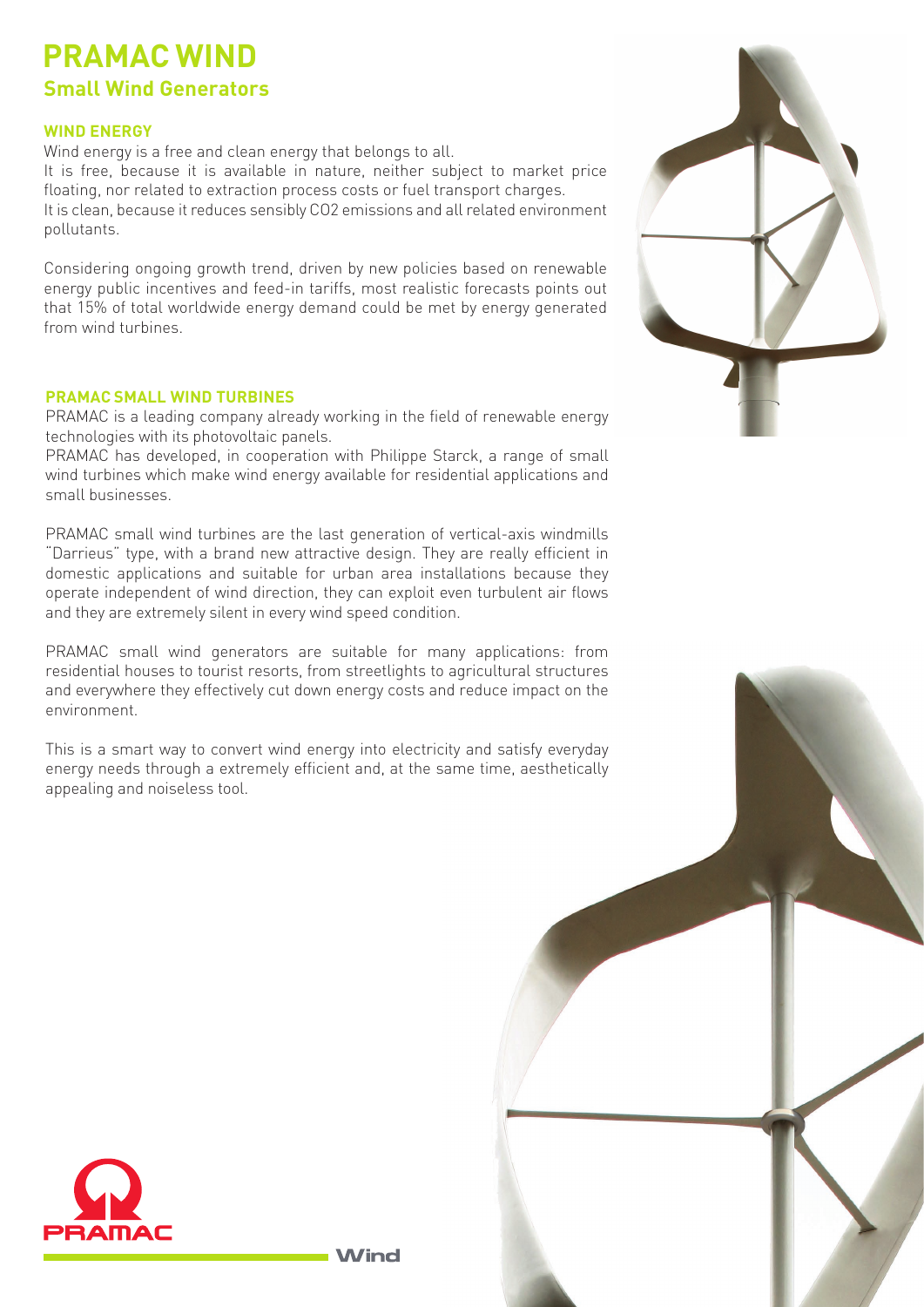## **PRAMAC WIND Small Wind Generators**

## **WIND ENERGY**

Wind energy is a free and clean energy that belongs to all.

It is free, because it is available in nature, neither subject to market price floating, nor related to extraction process costs or fuel transport charges. It is clean, because it reduces sensibly CO2 emissions and all related environment pollutants.

Considering ongoing growth trend, driven by new policies based on renewable energy public incentives and feed-in tariffs, most realistic forecasts points out that 15% of total worldwide energy demand could be met by energy generated from wind turbines.

## **PRAMAC SMALL WIND TURBINES**

PRAMAC is a leading company already working in the field of renewable energy technologies with its photovoltaic panels.

PRAMAC has developed, in cooperation with Philippe Starck, a range of small wind turbines which make wind energy available for residential applications and small businesses.

PRAMAC small wind turbines are the last generation of vertical-axis windmills "Darrieus" type, with a brand new attractive design. They are really efficient in domestic applications and suitable for urban area installations because they operate independent of wind direction, they can exploit even turbulent air flows and they are extremely silent in every wind speed condition.

PRAMAC small wind generators are suitable for many applications: from residential houses to tourist resorts, from streetlights to agricultural structures and everywhere they effectively cut down energy costs and reduce impact on the environment.

This is a smart way to convert wind energy into electricity and satisfy everyday energy needs through a extremely efficient and, at the same time, aesthetically appealing and noiseless tool.





**Wind**